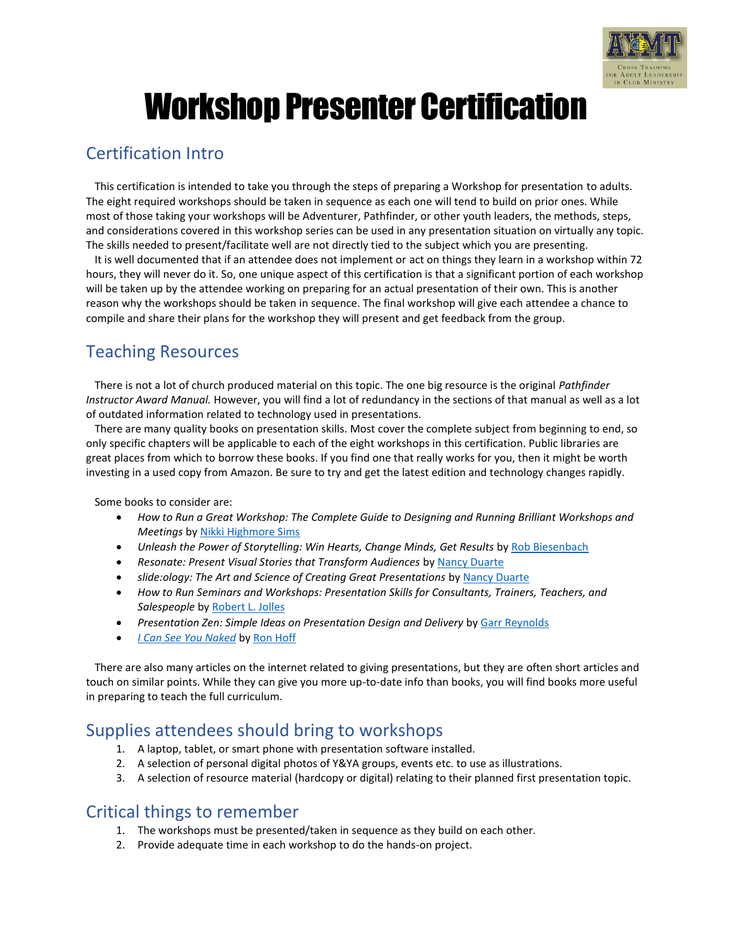

# Workshop Presenter Certification

## Certification Intro

This certification is intended to take you through the steps of preparing a Workshop for presentation to adults. The eight required workshops should be taken in sequence as each one will tend to build on prior ones. While most of those taking your workshops will be Adventurer, Pathfinder, or other youth leaders, the methods, steps, and considerations covered in this workshop series can be used in any presentation situation on virtually any topic. The skills needed to present/facilitate well are not directly tied to the subject which you are presenting.

It is well documented that if an attendee does not implement or act on things they learn in a workshop within 72 hours, they will never do it. So, one unique aspect of this certification is that a significant portion of each workshop will be taken up by the attendee working on preparing for an actual presentation of their own. This is another reason why the workshops should be taken in sequence. The final workshop will give each attendee a chance to compile and share their plans for the workshop they will present and get feedback from the group.

## Teaching Resources

There is not a lot of church produced material on this topic. The one big resource is the original *Pathfinder Instructor Award Manual.* However, you will find a lot of redundancy in the sections of that manual as well as a lot of outdated information related to technology used in presentations.

There are many quality books on presentation skills. Most cover the complete subject from beginning to end, so only specific chapters will be applicable to each of the eight workshops in this certification. Public libraries are great places from which to borrow these books. If you find one that really works for you, then it might be worth investing in a used copy from Amazon. Be sure to try and get the latest edition and technology changes rapidly.

Some books to consider are:

- *How to Run a Great Workshop: The Complete Guide to Designing and Running Brilliant Workshops and Meetings* by [Nikki Highmore Sims](https://www.amazon.com/Nikki-Highmore-Sims/e/B0034Q4P3K/ref=dp_byline_cont_book_1)
- *Unleash the Power of Storytelling: Win Hearts, Change Minds, Get Results* by [Rob Biesenbach](https://www.amazon.com/Rob-Biesenbach/e/B005MS9GIM/ref=dp_byline_cont_book_1)
- *Resonate: Present Visual Stories that Transform Audiences* by [Nancy Duarte](https://www.amazon.com/Nancy-Duarte/e/B002BMAA0K/ref=dp_byline_cont_book_1)
- *slide:ology: The Art and Science of Creating Great Presentations* by [Nancy Duarte](https://www.amazon.com/Nancy-Duarte/e/B002BMAA0K/ref=dp_byline_cont_book_1)
- *How to Run Seminars and Workshops: Presentation Skills for Consultants, Trainers, Teachers, and Salespeople* by [Robert L. Jolles](https://www.amazon.com/Robert-L-Jolles/e/B08NWDTZTC/ref=dp_byline_cont_book_1)
- *Presentation Zen: Simple Ideas on Presentation Design and Delivery* by [Garr Reynolds](https://www.amazon.com/Garr-Reynolds/e/B001I9TU1W/ref=dp_byline_cont_book_1)
- *[I Can See You Naked](https://www.amazon.com/I-Can-See-You-Naked/dp/0836280008/ref=sr_1_1?dchild=1&keywords=I+can+see+you+naked&qid=1627956913&s=books&sr=1-1)* by [Ron Hoff](https://www.amazon.com/Ron-Hoff/e/B001KI82O2?ref=sr_ntt_srch_lnk_1&qid=1627956913&sr=1-1)

There are also many articles on the internet related to giving presentations, but they are often short articles and touch on similar points. While they can give you more up-to-date info than books, you will find books more useful in preparing to teach the full curriculum.

## Supplies attendees should bring to workshops

- 1. A laptop, tablet, or smart phone with presentation software installed.
- 2. A selection of personal digital photos of Y&YA groups, events etc. to use as illustrations.
- 3. A selection of resource material (hardcopy or digital) relating to their planned first presentation topic.

### Critical things to remember

- 1. The workshops must be presented/taken in sequence as they build on each other.
- 2. Provide adequate time in each workshop to do the hands-on project.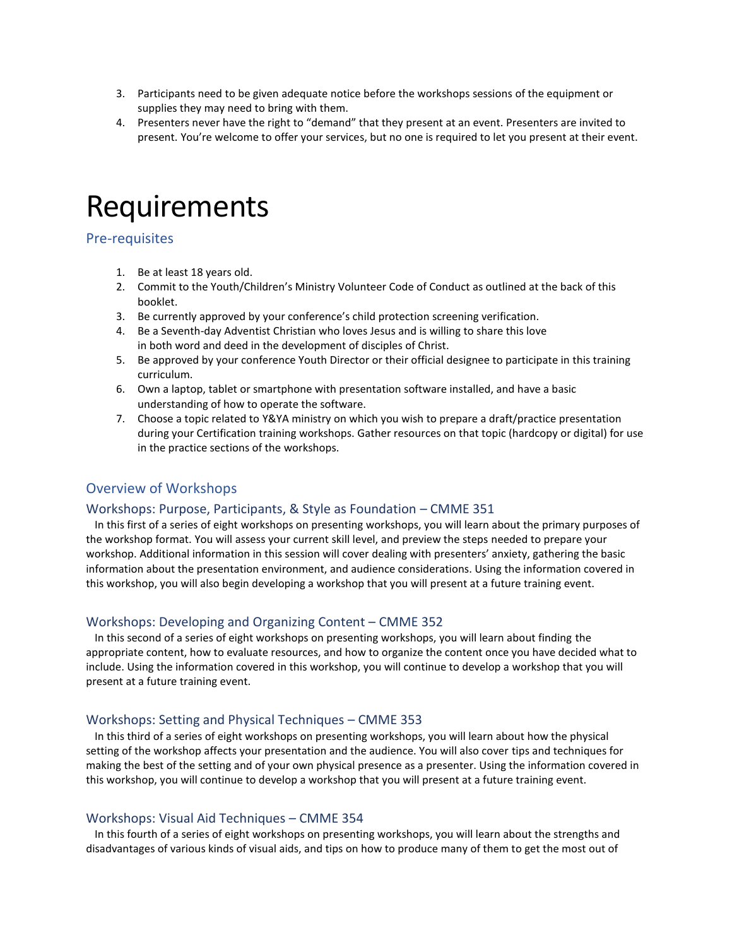- 3. Participants need to be given adequate notice before the workshops sessions of the equipment or supplies they may need to bring with them.
- 4. Presenters never have the right to "demand" that they present at an event. Presenters are invited to present. You're welcome to offer your services, but no one is required to let you present at their event.

## Requirements

#### Pre-requisites

- 1. Be at least 18 years old.
- 2. Commit to the Youth/Children's Ministry Volunteer Code of Conduct as outlined at the back of this booklet.
- 3. Be currently approved by your conference's child protection screening verification.
- 4. Be a Seventh-day Adventist Christian who loves Jesus and is willing to share this love in both word and deed in the development of disciples of Christ.
- 5. Be approved by your conference Youth Director or their official designee to participate in this training curriculum.
- 6. Own a laptop, tablet or smartphone with presentation software installed, and have a basic understanding of how to operate the software.
- 7. Choose a topic related to Y&YA ministry on which you wish to prepare a draft/practice presentation during your Certification training workshops. Gather resources on that topic (hardcopy or digital) for use in the practice sections of the workshops.

#### Overview of Workshops

#### Workshops: Purpose, Participants, & Style as Foundation – CMME 351

In this first of a series of eight workshops on presenting workshops, you will learn about the primary purposes of the workshop format. You will assess your current skill level, and preview the steps needed to prepare your workshop. Additional information in this session will cover dealing with presenters' anxiety, gathering the basic information about the presentation environment, and audience considerations. Using the information covered in this workshop, you will also begin developing a workshop that you will present at a future training event.

#### Workshops: Developing and Organizing Content – CMME 352

In this second of a series of eight workshops on presenting workshops, you will learn about finding the appropriate content, how to evaluate resources, and how to organize the content once you have decided what to include. Using the information covered in this workshop, you will continue to develop a workshop that you will present at a future training event.

#### Workshops: Setting and Physical Techniques – CMME 353

In this third of a series of eight workshops on presenting workshops, you will learn about how the physical setting of the workshop affects your presentation and the audience. You will also cover tips and techniques for making the best of the setting and of your own physical presence as a presenter. Using the information covered in this workshop, you will continue to develop a workshop that you will present at a future training event.

#### Workshops: Visual Aid Techniques – CMME 354

In this fourth of a series of eight workshops on presenting workshops, you will learn about the strengths and disadvantages of various kinds of visual aids, and tips on how to produce many of them to get the most out of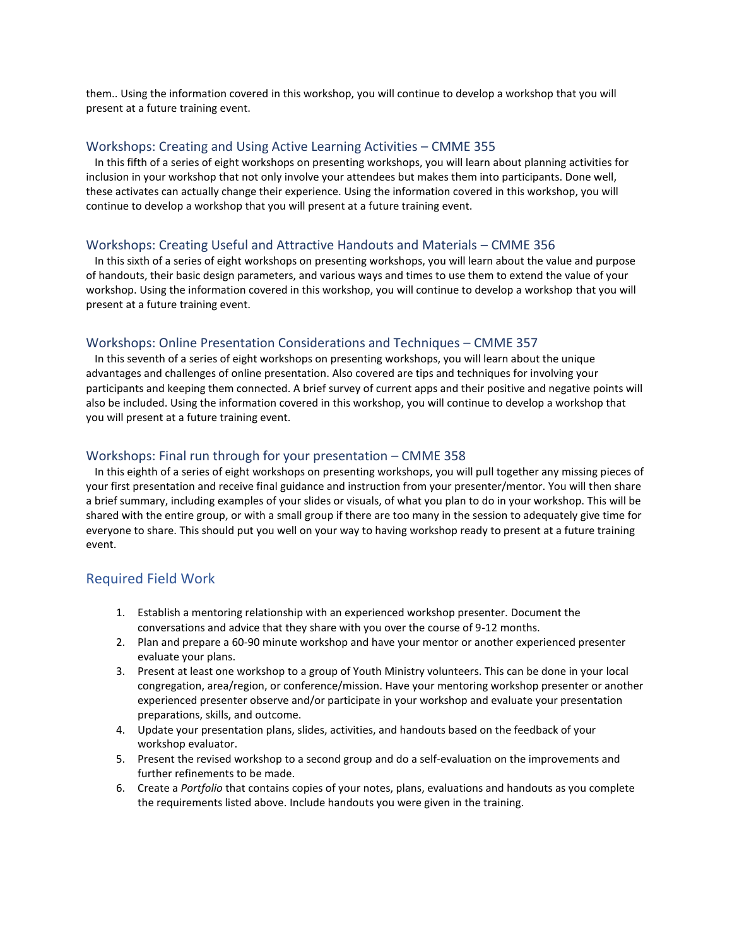them.. Using the information covered in this workshop, you will continue to develop a workshop that you will present at a future training event.

#### Workshops: Creating and Using Active Learning Activities – CMME 355

In this fifth of a series of eight workshops on presenting workshops, you will learn about planning activities for inclusion in your workshop that not only involve your attendees but makes them into participants. Done well, these activates can actually change their experience. Using the information covered in this workshop, you will continue to develop a workshop that you will present at a future training event.

#### Workshops: Creating Useful and Attractive Handouts and Materials – CMME 356

In this sixth of a series of eight workshops on presenting workshops, you will learn about the value and purpose of handouts, their basic design parameters, and various ways and times to use them to extend the value of your workshop. Using the information covered in this workshop, you will continue to develop a workshop that you will present at a future training event.

#### Workshops: Online Presentation Considerations and Techniques – CMME 357

In this seventh of a series of eight workshops on presenting workshops, you will learn about the unique advantages and challenges of online presentation. Also covered are tips and techniques for involving your participants and keeping them connected. A brief survey of current apps and their positive and negative points will also be included. Using the information covered in this workshop, you will continue to develop a workshop that you will present at a future training event.

#### Workshops: Final run through for your presentation – CMME 358

In this eighth of a series of eight workshops on presenting workshops, you will pull together any missing pieces of your first presentation and receive final guidance and instruction from your presenter/mentor. You will then share a brief summary, including examples of your slides or visuals, of what you plan to do in your workshop. This will be shared with the entire group, or with a small group if there are too many in the session to adequately give time for everyone to share. This should put you well on your way to having workshop ready to present at a future training event.

#### Required Field Work

- 1. Establish a mentoring relationship with an experienced workshop presenter. Document the conversations and advice that they share with you over the course of 9-12 months.
- 2. Plan and prepare a 60-90 minute workshop and have your mentor or another experienced presenter evaluate your plans.
- 3. Present at least one workshop to a group of Youth Ministry volunteers. This can be done in your local congregation, area/region, or conference/mission. Have your mentoring workshop presenter or another experienced presenter observe and/or participate in your workshop and evaluate your presentation preparations, skills, and outcome.
- 4. Update your presentation plans, slides, activities, and handouts based on the feedback of your workshop evaluator.
- 5. Present the revised workshop to a second group and do a self-evaluation on the improvements and further refinements to be made.
- 6. Create a *Portfolio* that contains copies of your notes, plans, evaluations and handouts as you complete the requirements listed above. Include handouts you were given in the training.